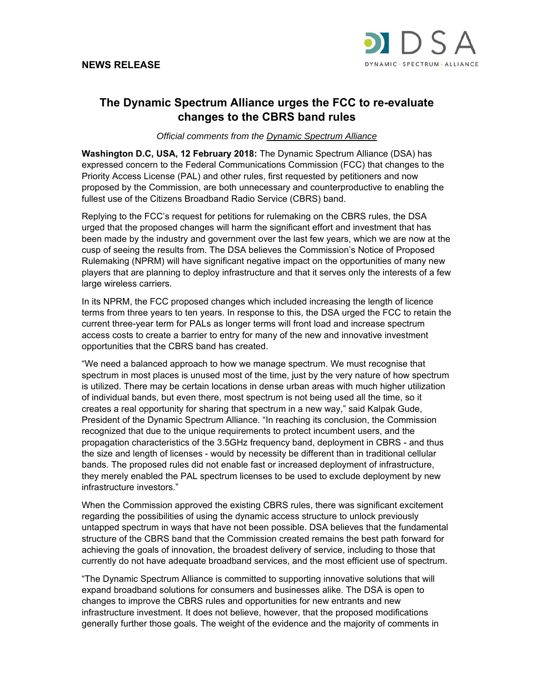

## **The Dynamic Spectrum Alliance urges the FCC to re-evaluate changes to the CBRS band rules**

*Official comments from the Dynamic Spectrum Alliance* 

**Washington D.C, USA, 12 February 2018:** The Dynamic Spectrum Alliance (DSA) has expressed concern to the Federal Communications Commission (FCC) that changes to the Priority Access License (PAL) and other rules, first requested by petitioners and now proposed by the Commission, are both unnecessary and counterproductive to enabling the fullest use of the Citizens Broadband Radio Service (CBRS) band.

Replying to the FCC's request for petitions for rulemaking on the CBRS rules, the DSA urged that the proposed changes will harm the significant effort and investment that has been made by the industry and government over the last few years, which we are now at the cusp of seeing the results from. The DSA believes the Commission's Notice of Proposed Rulemaking (NPRM) will have significant negative impact on the opportunities of many new players that are planning to deploy infrastructure and that it serves only the interests of a few large wireless carriers.

In its NPRM, the FCC proposed changes which included increasing the length of licence terms from three years to ten years. In response to this, the DSA urged the FCC to retain the current three-year term for PALs as longer terms will front load and increase spectrum access costs to create a barrier to entry for many of the new and innovative investment opportunities that the CBRS band has created.

"We need a balanced approach to how we manage spectrum. We must recognise that spectrum in most places is unused most of the time, just by the very nature of how spectrum is utilized. There may be certain locations in dense urban areas with much higher utilization of individual bands, but even there, most spectrum is not being used all the time, so it creates a real opportunity for sharing that spectrum in a new way," said Kalpak Gude, President of the Dynamic Spectrum Alliance. "In reaching its conclusion, the Commission recognized that due to the unique requirements to protect incumbent users, and the propagation characteristics of the 3.5GHz frequency band, deployment in CBRS - and thus the size and length of licenses - would by necessity be different than in traditional cellular bands. The proposed rules did not enable fast or increased deployment of infrastructure, they merely enabled the PAL spectrum licenses to be used to exclude deployment by new infrastructure investors."

When the Commission approved the existing CBRS rules, there was significant excitement regarding the possibilities of using the dynamic access structure to unlock previously untapped spectrum in ways that have not been possible. DSA believes that the fundamental structure of the CBRS band that the Commission created remains the best path forward for achieving the goals of innovation, the broadest delivery of service, including to those that currently do not have adequate broadband services, and the most efficient use of spectrum.

"The Dynamic Spectrum Alliance is committed to supporting innovative solutions that will expand broadband solutions for consumers and businesses alike. The DSA is open to changes to improve the CBRS rules and opportunities for new entrants and new infrastructure investment. It does not believe, however, that the proposed modifications generally further those goals. The weight of the evidence and the majority of comments in